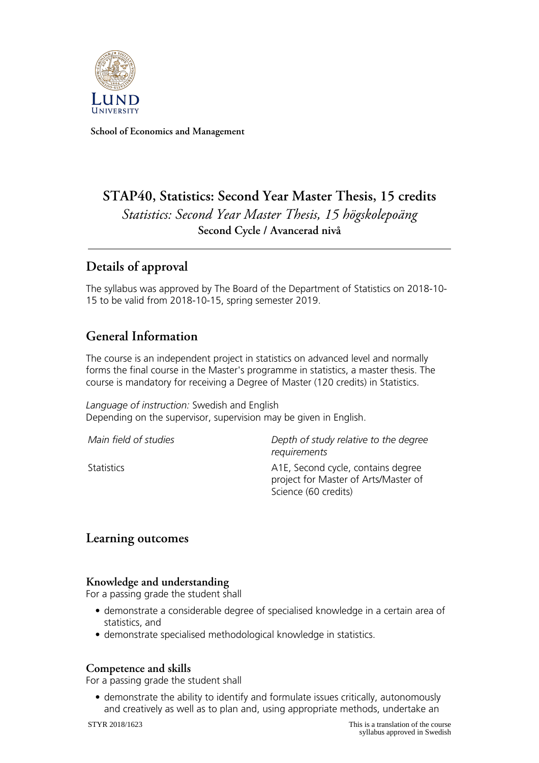

**School of Economics and Management**

# **STAP40, Statistics: Second Year Master Thesis, 15 credits** *Statistics: Second Year Master Thesis, 15 högskolepoäng* **Second Cycle / Avancerad nivå**

## **Details of approval**

The syllabus was approved by The Board of the Department of Statistics on 2018-10- 15 to be valid from 2018-10-15, spring semester 2019.

## **General Information**

The course is an independent project in statistics on advanced level and normally forms the final course in the Master's programme in statistics, a master thesis. The course is mandatory for receiving a Degree of Master (120 credits) in Statistics.

*Language of instruction:* Swedish and English Depending on the supervisor, supervision may be given in English.

| Main field of studies | Depth of study relative to the degree<br>requirements                                              |
|-----------------------|----------------------------------------------------------------------------------------------------|
| Statistics            | A1E, Second cycle, contains degree<br>project for Master of Arts/Master of<br>Science (60 credits) |

### **Learning outcomes**

#### **Knowledge and understanding**

For a passing grade the student shall

- demonstrate a considerable degree of specialised knowledge in a certain area of statistics, and
- demonstrate specialised methodological knowledge in statistics.

#### **Competence and skills**

For a passing grade the student shall

• demonstrate the ability to identify and formulate issues critically, autonomously and creatively as well as to plan and, using appropriate methods, undertake an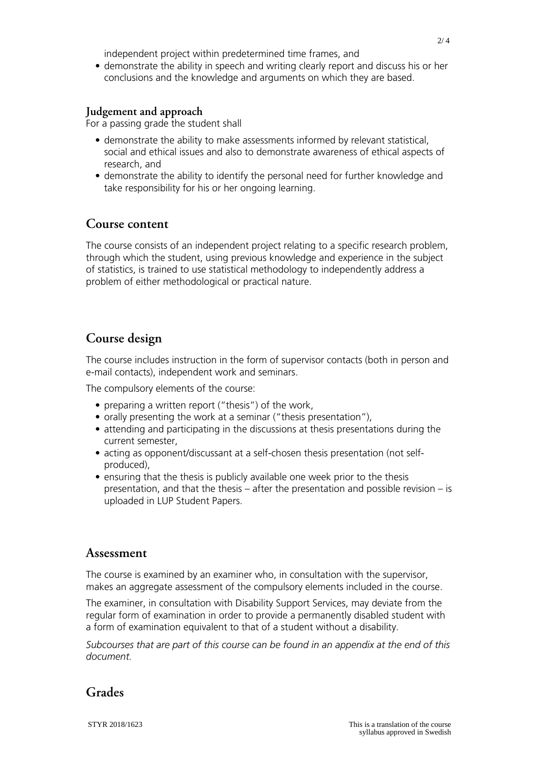independent project within predetermined time frames, and

• demonstrate the ability in speech and writing clearly report and discuss his or her conclusions and the knowledge and arguments on which they are based.

#### **Judgement and approach**

For a passing grade the student shall

- demonstrate the ability to make assessments informed by relevant statistical, social and ethical issues and also to demonstrate awareness of ethical aspects of research, and
- demonstrate the ability to identify the personal need for further knowledge and take responsibility for his or her ongoing learning.

### **Course content**

The course consists of an independent project relating to a specific research problem, through which the student, using previous knowledge and experience in the subject of statistics, is trained to use statistical methodology to independently address a problem of either methodological or practical nature.

## **Course design**

The course includes instruction in the form of supervisor contacts (both in person and e-mail contacts), independent work and seminars.

The compulsory elements of the course:

- preparing a written report ("thesis") of the work,
- orally presenting the work at a seminar ("thesis presentation"),
- attending and participating in the discussions at thesis presentations during the current semester,
- acting as opponent/discussant at a self-chosen thesis presentation (not selfproduced),
- ensuring that the thesis is publicly available one week prior to the thesis presentation, and that the thesis – after the presentation and possible revision – is uploaded in LUP Student Papers.

#### **Assessment**

The course is examined by an examiner who, in consultation with the supervisor, makes an aggregate assessment of the compulsory elements included in the course.

The examiner, in consultation with Disability Support Services, may deviate from the regular form of examination in order to provide a permanently disabled student with a form of examination equivalent to that of a student without a disability.

*Subcourses that are part of this course can be found in an appendix at the end of this document.*

## **Grades**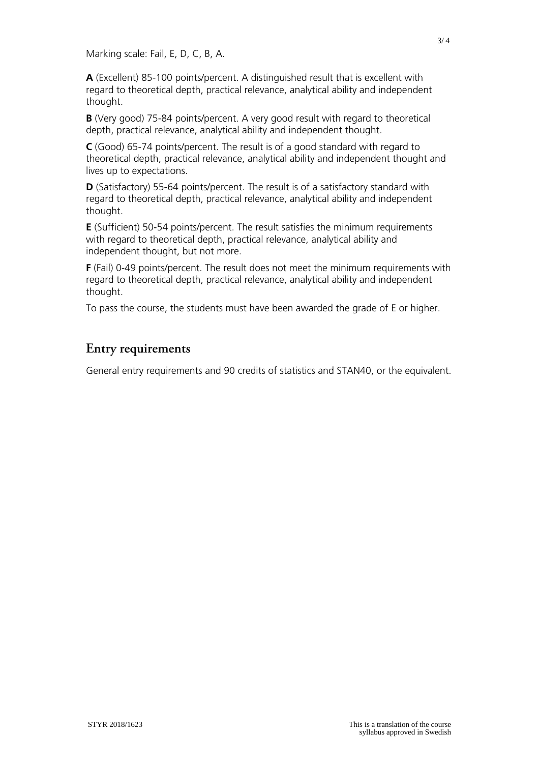Marking scale: Fail, E, D, C, B, A.

**A** (Excellent) 85-100 points/percent. A distinguished result that is excellent with regard to theoretical depth, practical relevance, analytical ability and independent thought.

**B** (Very good) 75-84 points/percent. A very good result with regard to theoretical depth, practical relevance, analytical ability and independent thought.

**C** (Good) 65-74 points/percent. The result is of a good standard with regard to theoretical depth, practical relevance, analytical ability and independent thought and lives up to expectations.

**D** (Satisfactory) 55-64 points/percent. The result is of a satisfactory standard with regard to theoretical depth, practical relevance, analytical ability and independent thought.

**E** (Sufficient) 50-54 points/percent. The result satisfies the minimum requirements with regard to theoretical depth, practical relevance, analytical ability and independent thought, but not more.

**F** (Fail) 0-49 points/percent. The result does not meet the minimum requirements with regard to theoretical depth, practical relevance, analytical ability and independent thought.

To pass the course, the students must have been awarded the grade of E or higher.

## **Entry requirements**

General entry requirements and 90 credits of statistics and STAN40, or the equivalent.